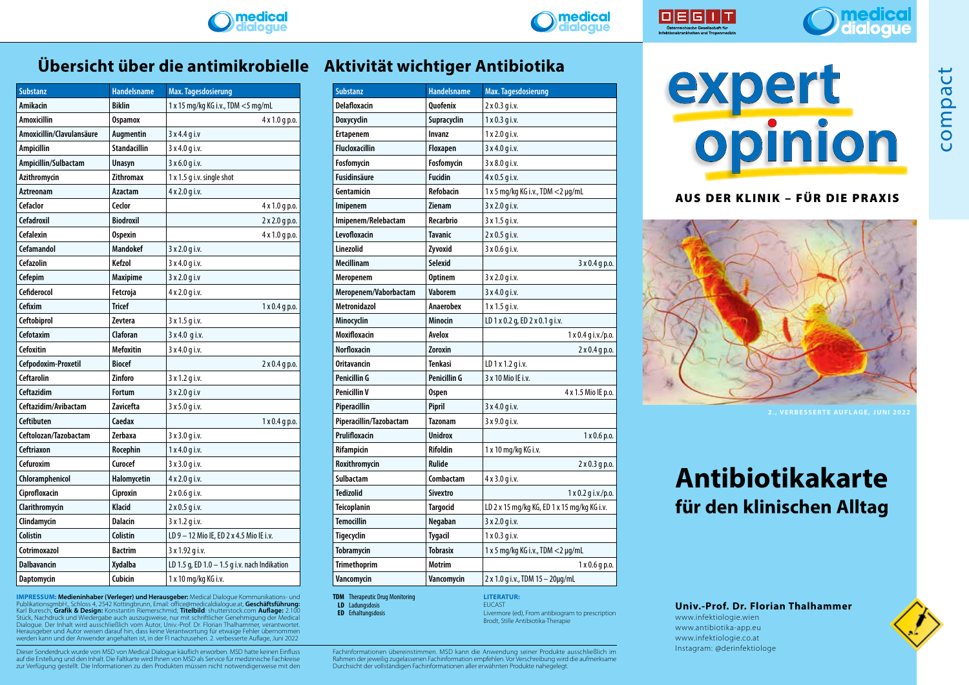





compact

## **Übersicht über die antimikrobielle Aktivität wichtiger Antibiotika**

| <b>Substanz</b>           | <b>Handelsname</b>  | Max. Tagesdosierung                           |
|---------------------------|---------------------|-----------------------------------------------|
| Amikacin                  | <b>Biklin</b>       | 1 x 15 mg/kg KG i.v., TDM <5 mg/mL            |
| <b>Amoxicillin</b>        | <b>Ospamox</b>      | 4 x 1.0 g p.o.                                |
| Amoxicillin/Clavulansäure | Augmentin           | 3 x 4.4 g i.v                                 |
| Ampicillin                | <b>Standacillin</b> | 3 x 4.0 g i.v.                                |
| Ampicillin/Sulbactam      | Unasyn              | 3 x 6.0 g i.v.                                |
| Azithromycin              | <b>Zithromax</b>    | 1 x 1.5 g i.v. single shot                    |
| Aztreonam                 | Azactam             | 4 x 2.0 g i.v.                                |
| <b>Cefaclor</b>           | <b>Ceclor</b>       | 4 x 1.0 g p.o.                                |
| <b>Cefadroxil</b>         | <b>Biodroxil</b>    | 2 x 2.0 g p.o.                                |
| Cefalexin                 | <b>Ospexin</b>      | 4 x 1.0 g p.o.                                |
| <b>Cefamandol</b>         | <b>Mandokef</b>     | 3 x 2.0 g i.v.                                |
| <b>Cefazolin</b>          | Kefzol              | 3 x 4.0 g i.v.                                |
| <b>Cefepim</b>            | <b>Maxipime</b>     | $3x2.0q$ i.v                                  |
| Cefiderocol               | Fetcroja            | 4 x 2.0 g i.v.                                |
| Cefixim                   | <b>Tricef</b>       | $1 \times 0.4$ g p.o.                         |
| Ceftobiprol               | <b>Zevtera</b>      | 3 x 1.5 g i.v.                                |
| Cefotaxim                 | Claforan            | 3 x 4.0 g i.v.                                |
| <b>Cefoxitin</b>          | <b>Mefoxitin</b>    | 3 x 4.0 g i.v.                                |
| Cefpodoxim-Proxetil       | <b>Biocef</b>       | $2 \times 0.4$ g p.o.                         |
| <b>Ceftarolin</b>         | <b>Zinforo</b>      | 3 x 1.2 g i.v.                                |
| Ceftazidim                | Fortum              | 3 x 2.0 g i.v                                 |
| Ceftazidim/Avibactam      | <b>Zavicefta</b>    | 3 x 5.0 g i.v.                                |
| Ceftibuten                | Caedax              | $1 \times 0.4$ q p.o.                         |
| Ceftolozan/Tazobactam     | <b>Zerbaxa</b>      | 3 x 3.0 g i.v.                                |
| Ceftriaxon                | Rocephin            | 1x 4.0 q i.v.                                 |
| <b>Cefuroxim</b>          | <b>Curocef</b>      | 3 x 3.0 g i.v.                                |
| Chloramphenicol           | Halomycetin         | 4 x 2.0 g i.v.                                |
| Ciprofloxacin             | Ciproxin            | 2 x 0.6 g i.v.                                |
| Clarithromycin            | Klacid              | 2 x 0.5 g i.v.                                |
| Clindamycin               | Dalacin             | 3 x 1.2 g i.v.                                |
| Colistin                  | Colistin            | LD 9 - 12 Mio IE, ED 2 x 4.5 Mio IE i.v.      |
| Cotrimoxazol              | <b>Bactrim</b>      | 3 x 1.92 g i.v.                               |
| <b>Dalbavancin</b>        | Xydalba             | LD 1.5 g, ED 1.0 - 1.5 g i.v. nach Indikation |
| Daptomycin                | Cubicin             | 1 x 10 mg/kg KG i.v.                          |

**IMPRESSUM: Medieninhaber (Verleger) und Herausgeber:** Medical Dialogue Kommunikations- und PublikationsgmbH., Schloss 4, 2542 Kottingbrunn, Email: office@medicaldialogue.at, **Geschäftsführung:** Karl Buresch; **Grafik & Design:** Konstantin Riemerschmid; **Titelbild**: shutterstock.com **Auflage:** 2.100 Stück, Nachdruck und Wiedergabe auch auszugsweise, nur mit schriftlicher Genehmigung der Medical Dialogue. Der Inhalt wird ausschließlich vom Autor, Univ.-Prof. Dr. Florian Thalhammer, verantwortet. Herausgeber und Autor weisen darauf hin, dass keine Verantwortung für etwaige Fehler übernommen werden kann und der Anwender angehalten ist, in der FI nachzusehen. 2. verbesserte Auflage, Juni 2022

Dieser Sonderdruck wurde von MSD von Medical Dialogue käuflich erworben. MSD hatte keinen Einfluss auf die Erstellung und den Inhalt. Die Faltkarte wird Ihnen von MSD als Service für medizinische Fachkreise zur Verfügung gestellt. Die Informationen zu den Produkten müssen nicht notwendigerweise mit den

| <b>Substanz</b>         | <b>Handelsname</b> | Max. Tagesdosierung                         |
|-------------------------|--------------------|---------------------------------------------|
| <b>Delafloxacin</b>     | Quofenix           | 2 x 0.3 g i.v.                              |
| Doxycyclin              | Supracyclin        | $1 \times 0.3$ q i.v.                       |
| <b>Ertapenem</b>        | Invanz             | 1 x 2.0 g i.v.                              |
| <b>Flucloxacillin</b>   | Floxapen           | 3 x 4.0 g i.v.                              |
| Fosfomycin              | Fosfomycin         | 3 x 8.0 g i.v.                              |
| <b>Fusidinsäure</b>     | <b>Fucidin</b>     | 4 x 0.5 g i.v.                              |
| Gentamicin              | Refobacin          | 1 x 5 mg/kg KG i.v., TDM <2 µg/mL           |
| Imipenem                | <b>Zienam</b>      | 3 x 2.0 g i.v.                              |
| Imipenem/Relebactam     | Recarbrio          | 3 x 1.5 g i.v.                              |
| Levofloxacin            | <b>Tavanic</b>     | 2 x 0.5 g i.v.                              |
| Linezolid               | Zyvoxid            | 3 x 0.6 g i.v.                              |
| Mecillinam              | Selexid            | 3 x 0.4 g p.o.                              |
| Meropenem               | <b>Optinem</b>     | 3 x 2.0 g i.v.                              |
| Meropenem/Vaborbactam   | <b>Vaborem</b>     | 3 x 4.0 g i.v.                              |
| <b>Metronidazol</b>     | <b>Anaerobex</b>   | 1 x 1.5 g i.v.                              |
| Minocyclin              | Minocin            | LD 1 x 0.2 g, ED 2 x 0.1 g i.v.             |
| Moxifloxacin            | Avelox             | 1 x 0.4 g i.v./p.o.                         |
| <b>Norfloxacin</b>      | <b>Zoroxin</b>     | $2 \times 0.4$ g p.o.                       |
| <b>Oritavancin</b>      | <b>Tenkasi</b>     | LD 1 x 1.2 g i.v.                           |
| Penicillin G            | Penicillin G       | 3 x 10 Mio IE i.v.                          |
| Penicillin V            | <b>Ospen</b>       | 4 x 1.5 Mio IE p.o.                         |
| Piperacillin            | Pipril             | 3 x 4.0 g i.v.                              |
| Piperacillin/Tazobactam | <b>Tazonam</b>     | 3 x 9.0 g i.v.                              |
| Prulifloxacin           | <b>Unidrox</b>     | 1 x 0.6 p.o.                                |
| <b>Rifampicin</b>       | <b>Rifoldin</b>    | 1 x 10 mg/kg KG i.v.                        |
| Roxithromycin           | <b>Rulide</b>      | $2 \times 0.3$ g p.o.                       |
| Sulbactam               | Combactam          | 4 x 3.0 g i.v.                              |
| <b>Tedizolid</b>        | <b>Sivextro</b>    | 1 x 0.2 g i.v./p.o.                         |
| <b>Teicoplanin</b>      | <b>Targocid</b>    | LD 2 x 15 mg/kg KG, ED 1 x 15 mg/kg KG i.v. |
| <b>Temocillin</b>       | Negaban            | 3 x 2.0 g i.v.                              |
| Tigecyclin              | <b>Tygacil</b>     | 1 x 0.3 g i.v.                              |
| <b>Tobramycin</b>       | <b>Tobrasix</b>    | 1 x 5 mg/kg KG i.v., TDM <2 µg/mL           |
| <b>Trimethoprim</b>     | <b>Motrim</b>      | 1 x 0.6 g p.o.                              |
| Vancomycin              | Vancomycin         | 2 x 1.0 g i.v., TDM 15 - 20µg/mL            |

**TDM** Therapeutic Drug Monitoring **LD** Ladungsdosis **ED** Erhaltungsdosis

**LITERATUR:** EUCAST Livermore (ed), From antibiogram to prescription Brodt, Stille Antibiotika-Therapie

Fachinformationen übereinstimmen. MSD kann die Anwendung seiner Produkte ausschließlich im Rahmen der jeweilig zugelassenen Fachinformation empfehlen. Vor Verschreibung wird die aufmerksame Durchsicht der vollständigen Fachinformationen aller erwähnten Produkte nahegelegt.



AUS DER KLINIK – FÜR DIE PRAXIS



## **Antibiotikakarte für den klinischen Alltag**

**Univ.-Prof. Dr. Florian Thalhammer**

www.infektiologie.wien www.antibiotika-app.eu www.infektiologie.co.at Instagram: @derinfektiologe